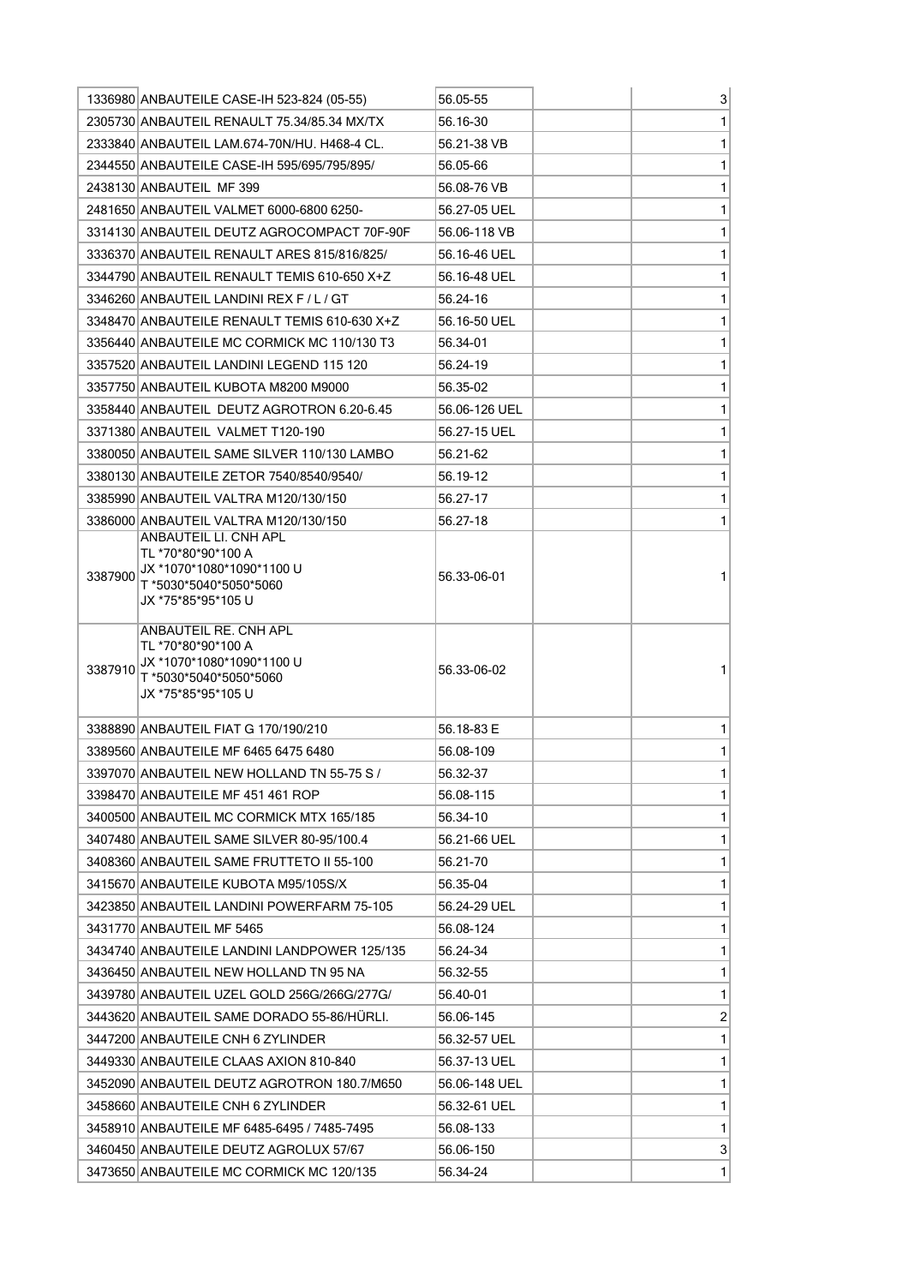|         | 1336980 ANBAUTEILE CASE-IH 523-824 (05-55)                                                                               | 56.05-55      | 3              |
|---------|--------------------------------------------------------------------------------------------------------------------------|---------------|----------------|
|         | 2305730 ANBAUTEIL RENAULT 75.34/85.34 MX/TX                                                                              | 56.16-30      | 1              |
|         | 2333840 ANBAUTEIL LAM.674-70N/HU. H468-4 CL.                                                                             | 56.21-38 VB   | 1              |
|         | 2344550 ANBAUTEILE CASE-IH 595/695/795/895/                                                                              | 56.05-66      | 1              |
|         | 2438130 ANBAUTEIL MF 399                                                                                                 | 56.08-76 VB   | 1              |
|         | 2481650 ANBAUTEIL VALMET 6000-6800 6250-                                                                                 | 56.27-05 UEL  | 1              |
|         | 3314130 ANBAUTEIL DEUTZ AGROCOMPACT 70F-90F                                                                              | 56.06-118 VB  | 1              |
|         | 3336370 ANBAUTEIL RENAULT ARES 815/816/825/                                                                              | 56.16-46 UEL  | 1              |
|         | 3344790 ANBAUTEIL RENAULT TEMIS 610-650 X+Z                                                                              | 56.16-48 UEL  | 1              |
|         | 3346260 ANBAUTEIL LANDINI REX F / L / GT                                                                                 | 56.24-16      | 1              |
|         | 3348470 ANBAUTEILE RENAULT TEMIS 610-630 X+Z                                                                             | 56.16-50 UEL  | 1              |
|         | 3356440 ANBAUTEILE MC CORMICK MC 110/130 T3                                                                              | 56.34-01      | 1              |
|         | 3357520 ANBAUTEIL LANDINI LEGEND 115 120                                                                                 | 56.24-19      | 1              |
|         | 3357750 ANBAUTEIL KUBOTA M8200 M9000                                                                                     | 56.35-02      | 1              |
|         | 3358440 ANBAUTEIL DEUTZ AGROTRON 6.20-6.45                                                                               | 56.06-126 UEL | 1              |
|         | 3371380 ANBAUTEIL VALMET T120-190                                                                                        | 56.27-15 UEL  | 1              |
|         | 3380050 ANBAUTEIL SAME SILVER 110/130 LAMBO                                                                              | 56.21-62      | 1              |
|         | 3380130 ANBAUTEILE ZETOR 7540/8540/9540/                                                                                 | 56.19-12      | 1              |
|         | 3385990 ANBAUTEIL VALTRA M120/130/150                                                                                    | 56.27-17      | 1              |
|         | 3386000 ANBAUTEIL VALTRA M120/130/150                                                                                    | 56.27-18      | 1              |
| 3387900 | ANBAUTEIL LI. CNH APL<br>TL *70*80*90*100 A<br>JX *1070*1080*1090*1100 U<br>T *5030*5040*5050*5060<br>JX *75*85*95*105 U | 56.33-06-01   | 1              |
| 3387910 | ANBAUTEIL RE. CNH APL<br>TL *70*80*90*100 A<br>JX *1070*1080*1090*1100 U<br>T *5030*5040*5050*5060<br>JX *75*85*95*105 U | 56.33-06-02   |                |
|         | 3388890 ANBAUTEIL FIAT G 170/190/210                                                                                     | 56.18-83 F    | 1              |
|         | 3389560 ANBAUTEILE MF 6465 6475 6480                                                                                     | 56.08-109     | 1              |
|         | 3397070 ANBAUTEIL NEW HOLLAND TN 55-75 S /                                                                               | 56.32-37      | 1              |
|         | 3398470 ANBAUTEILE MF 451 461 ROP                                                                                        | 56.08-115     | 1              |
|         | 3400500 ANBAUTEIL MC CORMICK MTX 165/185                                                                                 | 56.34-10      | 1              |
|         | 3407480 ANBAUTEIL SAME SILVER 80-95/100.4                                                                                | 56.21-66 UEL  | 1              |
|         | 3408360 ANBAUTEIL SAME FRUTTETO II 55-100                                                                                | 56.21-70      | 1              |
|         | 3415670 ANBAUTEILE KUBOTA M95/105S/X                                                                                     | 56.35-04      | 1              |
|         | 3423850 ANBAUTEIL LANDINI POWERFARM 75-105                                                                               | 56.24-29 UEL  | 1              |
|         | 3431770 ANBAUTEIL MF 5465                                                                                                | 56.08-124     | 1              |
|         | 3434740 ANBAUTEILE LANDINI LANDPOWER 125/135                                                                             | 56.24-34      | 1              |
|         | 3436450 ANBAUTEIL NEW HOLLAND TN 95 NA                                                                                   | 56.32-55      | 1              |
|         | 3439780 ANBAUTEIL UZEL GOLD 256G/266G/277G/                                                                              | 56.40-01      | 1              |
|         | 3443620 ANBAUTEIL SAME DORADO 55-86/HURLI.                                                                               | 56.06-145     | $\overline{c}$ |
|         | 3447200 ANBAUTEILE CNH 6 ZYLINDER                                                                                        | 56.32-57 UEL  | 1              |
|         | 3449330 ANBAUTEILE CLAAS AXION 810-840                                                                                   | 56.37-13 UEL  | 1              |
|         | 3452090 ANBAUTEIL DEUTZ AGROTRON 180.7/M650                                                                              | 56.06-148 UEL | 1              |
|         | 3458660 ANBAUTEILE CNH 6 ZYLINDER                                                                                        | 56.32-61 UEL  | 1              |
|         | 3458910 ANBAUTEILE MF 6485-6495 / 7485-7495                                                                              | 56.08-133     | 1              |
|         | 3460450 ANBAUTEILE DEUTZ AGROLUX 57/67                                                                                   | 56.06-150     | 3 <sup>2</sup> |
|         | 3473650 ANBAUTEILE MC CORMICK MC 120/135                                                                                 | 56.34-24      | $\mathbf{1}$   |
|         |                                                                                                                          |               |                |